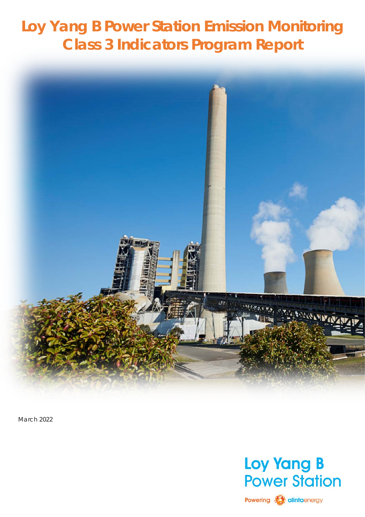# **Loy Yang B Power Station Emission Monitoring Class 3 Indicators Program Report**



March 2022



Powering **Manufacturer**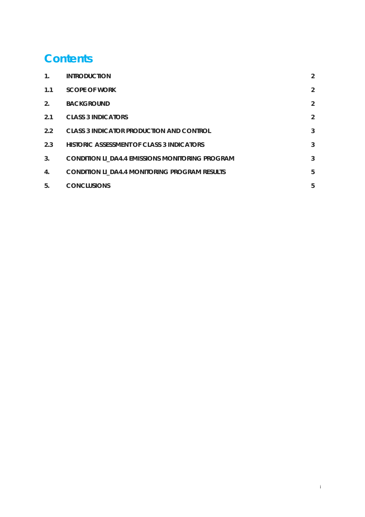# **Contents**

| $\mathbf{1}$ . | <b>INTRODUCTION</b>                                    | $\overline{2}$ |
|----------------|--------------------------------------------------------|----------------|
| 1.1            | <b>SCOPE OF WORK</b>                                   | 2              |
| 2.             | <b>BACKGROUND</b>                                      | $\overline{2}$ |
| 2.1            | <b>CLASS 3 INDICATORS</b>                              | $\overline{2}$ |
| $2.2^{\circ}$  | <b>CLASS 3 INDICATOR PRODUCTION AND CONTROL</b>        | 3              |
| 2.3            | HISTORIC ASSESSMENT OF CLASS 3 INDICATORS              | 3              |
| 3.             | <b>CONDITION LI_DA4.4 EMISSIONS MONITORING PROGRAM</b> | 3              |
| 4.             | <b>CONDITION LI_DA4.4 MONITORING PROGRAM RESULTS</b>   | 5              |
| 5.             | <b>CONCLUSIONS</b>                                     | 5              |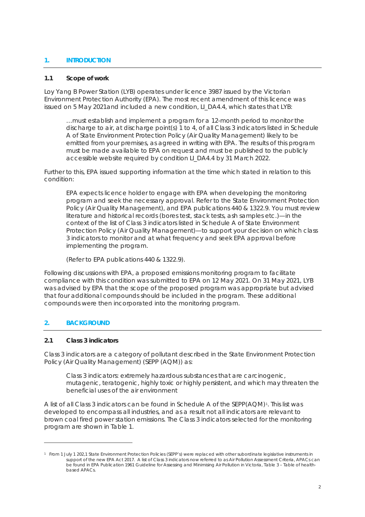#### <span id="page-2-0"></span>**1. INTRODUCTION**

#### <span id="page-2-1"></span>**1.1 Scope of work**

Loy Yang B Power Station (LYB) operates under licence 3987 issued by the Victorian Environment Protection Authority (EPA). The most recent amendment of this licence was issued on 5 May 2021and included a new condition, LI\_DA4.4, which states that LYB:

*…must establish and implement a program for a 12-month period to monitor the discharge to air, at discharge point(s) 1 to 4, of all Class 3 indicators listed in Schedule A of State Environment Protection Policy (Air Quality Management) likely to be emitted from your premises, as agreed in writing with EPA. The results of this program must be made available to EPA on request and must be published to the publicly accessible website required by condition LI\_DA4.4 by 31 March 2022*.

Further to this, EPA issued supporting information at the time which stated in relation to this condition:

*EPA expects licence holder to engage with EPA when developing the monitoring program and seek the necessary approval. Refer to the State Environment Protection Policy (Air Quality Management), and EPA publications 440 & 1322.9. You must review literature and historical records (bores test, stack tests, ash samples etc.)—in the context of the list of Class 3 indicators listed in Schedule A of State Environment Protection Policy (Air Quality Management)—to support your decision on which class 3 indicators to monitor and at what frequency and seek EPA approval before implementing the program.*

(*Refer to EPA publications 440 & 1322.9).*

Following discussions with EPA, a proposed emissions monitoring program to facilitate compliance with this condition was submitted to EPA on 12 May 2021. On 31 May 2021, LYB was advised by EPA that the scope of the proposed program was appropriate but advised that four additional compounds should be included in the program. These additional compounds were then incorporated into the monitoring program.

## <span id="page-2-2"></span>**2. BACKGROUND**

#### <span id="page-2-3"></span>**2.1 Class 3 indicators**

Class 3 indicators are a category of pollutant described in the State Environment Protection Policy (Air Quality Management) (SEPP (AQM)) as:

*Class 3 indicators: extremely hazardous substances that are carcinogenic, mutagenic, teratogenic, highly toxic or highly persistent, and which may threaten the beneficial uses of the air environment*

A list of all Class 3 indicators can be found in Schedule A of the SEPP(AQM)<sup>[1](#page-2-4)</sup>. This list was developed to encompass all industries, and as a result not all indicators are relevant to brown coal fired power station emissions. The Class 3 indicators selected for the monitoring program are shown in Table 1.

<span id="page-2-4"></span><sup>&</sup>lt;sup>1</sup> From 1 July 1 202,1 State Environment Protection Policies (SEPP's) were replaced with other subordinate legislative instruments in support of the new EPA Act 2017. A list of Class 3 indicators now referred to as Air Pollution Assessment Criteria, APACs can be found in EPA Publication 1961 Guideline for Assessing and Minimising Air Pollution in Victoria, Table 3 – Table of healthbased APACs.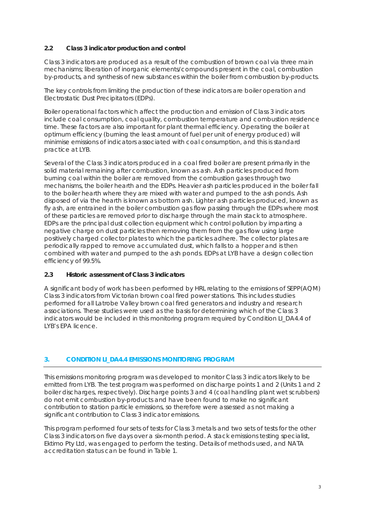# <span id="page-3-0"></span>**2.2 Class 3 indicator production and control**

Class 3 indicators are produced as a result of the combustion of brown coal via three main mechanisms; liberation of inorganic elements/compounds present in the coal, combustion by-products, and synthesis of new substances within the boiler from combustion by-products.

The key controls from limiting the production of these indicators are boiler operation and Electrostatic Dust Precipitators (EDPs).

Boiler operational factors which affect the production and emission of Class 3 indicators include coal consumption, coal quality, combustion temperature and combustion residence time. These factors are also important for plant thermal efficiency. Operating the boiler at optimum efficiency (burning the least amount of fuel per unit of energy produced) will minimise emissions of indicators associated with coal consumption, and this is standard practice at LYB.

Several of the Class 3 indicators produced in a coal fired boiler are present primarily in the solid material remaining after combustion, known as ash. Ash particles produced from burning coal within the boiler are removed from the combustion gases through two mechanisms, the boiler hearth and the EDPs. Heavier ash particles produced in the boiler fall to the boiler hearth where they are mixed with water and pumped to the ash ponds. Ash disposed of via the hearth is known as bottom ash. Lighter ash particles produced, known as fly ash, are entrained in the boiler combustion gas flow passing through the EDPs where most of these particles are removed prior to discharge through the main stack to atmosphere. EDPs are the principal dust collection equipment which control pollution by imparting a negative charge on dust particles then removing them from the gas flow using large positively charged collector plates to which the particles adhere. The collector plates are periodically rapped to remove accumulated dust, which falls to a hopper and is then combined with water and pumped to the ash ponds. EDPs at LYB have a design collection efficiency of 99.5%.

## <span id="page-3-1"></span>**2.3 Historic assessment of Class 3 indicators**

A significant body of work has been performed by HRL relating to the emissions of SEPP(AQM) Class 3 indicators from Victorian brown coal fired power stations. This includes studies performed for all Latrobe Valley brown coal fired generators and industry and research associations. These studies were used as the basis for determining which of the Class 3 indicators would be included in this monitoring program required by Condition LL DA4.4 of LYB's EPA licence.

## <span id="page-3-2"></span>**3. CONDITION LI\_DA4.4 EMISSIONS MONITORING PROGRAM**

This emissions monitoring program was developed to monitor Class 3 indicators likely to be emitted from LYB. The test program was performed on discharge points 1 and 2 (Units 1 and 2 boiler discharges, respectively). Discharge points 3 and 4 (coal handling plant wet scrubbers) do not emit combustion by-products and have been found to make no significant contribution to station particle emissions, so therefore were assessed as not making a significant contribution to Class 3 indicator emissions.

This program performed four sets of tests for Class 3 metals and two sets of tests for the other Class 3 indicators on five days over a six-month period. A stack emissions testing specialist, Ektimo Pty Ltd, was engaged to perform the testing. Details of methods used, and NATA accreditation status can be found in Table 1.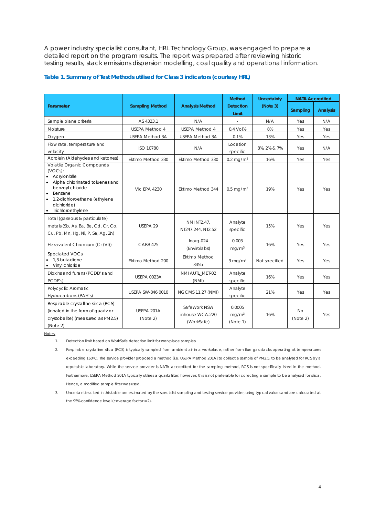A power industry specialist consultant, HRL Technology Group, was engaged to prepare a detailed report on the program results. The report was prepared after reviewing historic testing results, stack emissions dispersion modelling, coal quality and operational information.

#### **Table 1. Summary of Test Methods utilised for Class 3 indicators (courtesy HRL)**

|                                                                                                                                                                                                                                         |                        |                                               | <b>Method</b>                           | <b>Uncertainty</b> | <b>NATA Accredited</b> |                 |
|-----------------------------------------------------------------------------------------------------------------------------------------------------------------------------------------------------------------------------------------|------------------------|-----------------------------------------------|-----------------------------------------|--------------------|------------------------|-----------------|
| Parameter                                                                                                                                                                                                                               | <b>Sampling Method</b> | <b>Analysis Method</b>                        | <b>Detection</b><br>Limit               | (Note 3)           | Sampling               | <b>Analysis</b> |
| Sample plane criteria                                                                                                                                                                                                                   | AS 4323.1              | N/A                                           |                                         | N/A                | Yes                    | N/A             |
| Moisture                                                                                                                                                                                                                                | <b>USEPA Method 4</b>  | <b>USEPA Method 4</b>                         | 0.4 Vol%                                | 8%                 | Yes                    | Yes             |
| Oxygen                                                                                                                                                                                                                                  | <b>USEPA Method 3A</b> | USEPA Method 3A                               | 0.1%                                    | 13%                | Yes                    | Yes             |
| Flow rate, temperature and<br>velocity                                                                                                                                                                                                  | ISO 10780              | N/A                                           | Location<br>specific                    | 8%, 2% & 7%        | Yes                    | N/A             |
| Acrolein (Aldehydes and ketones)                                                                                                                                                                                                        | Ektimo Method 330      | Ektimo Method 330<br>$0.2 \text{ mg/m}^3$     |                                         | 16%                | Yes                    | Yes             |
| Volatile Organic Compounds<br>$(VOCs)$ :<br>Acrylonitrile<br>$\bullet$<br>Alpha chlorinated toluenes and<br>benzoyl chloride<br>Benzene<br>$\bullet$<br>1,2-dichloroethane (ethylene<br>$\bullet$<br>dichloride)<br>• Trichloroethylene | <b>Vic EPA 4230</b>    | Ektimo Method 344                             | $0.5 \,\mathrm{mg/m^3}$                 | 19%                | Yes                    | Yes             |
| Total (gaseous & particulate)<br>metals (Sb, As, Ba, Be, Cd, Cr, Co,<br>Cu, Pb, Mn, Hg, Ni, P, Se, Ag, Zn)                                                                                                                              | USEPA 29               | <b>NMI NT2.47.</b><br>NT247.244, NT2.52       | Analyte<br>specific                     | 15%                | Yes                    | Yes             |
| Hexavalent Chromium (Cr (VI))                                                                                                                                                                                                           | <b>CARB 425</b>        | Inorg-024<br>(Envirolabs)                     | 0.003<br>mq/m <sup>3</sup>              | 16%                | Yes                    | <b>Yes</b>      |
| Speciated VOCs:<br>1,3-butadiene<br>Vinyl chloride<br>$\bullet$                                                                                                                                                                         | Ektimo Method 200      | <b>Ektimo Method</b><br>345b                  | $3 \text{ mg/m}^3$                      | Not specified      | Yes                    | Yes             |
| Dioxins and furans (PCDD's and<br>PCDF's)                                                                                                                                                                                               | <b>USEPA 0023A</b>     | NMI AUTL_MET-02<br>(NMI)                      | Analyte<br>specific                     | 16%                | Yes                    | <b>Yes</b>      |
| Polycyclic Aromatic<br>Hydrocarbons (PAH's)                                                                                                                                                                                             | USEPA SW-846 0010      | <b>NGCMS 11.27 (NMI)</b>                      | Analyte<br>specific                     | 21%                | Yes                    | Yes             |
| Respirable crystalline silica (RCS)<br>(inhaled in the form of quartz or<br>crystobalite) (measured as PM2.5)<br>(Note 2)                                                                                                               | USEPA 201A<br>(Note 2) | SafeWork NSW<br>inhouse WCA.220<br>(WorkSafe) | 0.0005<br>mq/m <sup>3</sup><br>(Note 1) | 16%                | <b>No</b><br>(Note 2)  | Yes             |

Notes:

1. Detection limit based on WorkSafe detection limit for workplace samples.

2. Respirable crystalline silica (RCS) is typically sampled from ambient air in a workplace, rather from flue gas stacks operating at temperatures exceeding 160°C. The service provider proposed a method [i.e. USEPA Method 201A] to collect a sample of PM2.5, to be analysed for RCS by a reputable laboratory. While the service provider is NATA accredited for the sampling method, RCS is not specifically listed in the method. Furthermore, USEPA Method 201A typically utilises a quartz filter; however, this is not preferable for collecting a sample to be analysed for silica. Hence, a modified sample filter was used.

3. Uncertainties cited in this table are estimated by the specialist sampling and testing service provider, using typical values and are calculated at the 95% confidence level (coverage factor = 2).